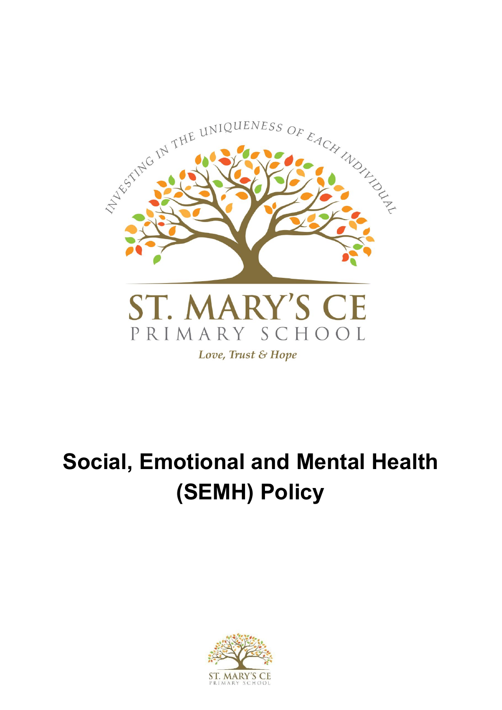

# **Social, Emotional and Mental Health (SEMH) Policy**

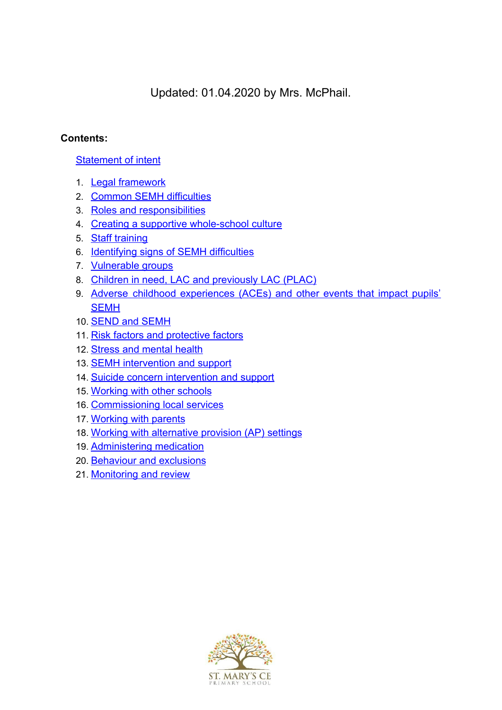Updated: 01.04.2020 by Mrs. McPhail.

# **Contents:**

## [Statement of intent](#page-2-0)

- 1. [Legal framework](#page-3-0)
- 2. [Common SEMH difficulties](#page-3-1)
- 3. [Roles and responsibilities](#page-5-0)
- 4. [Creating a supportive whole-school culture](#page-9-0)
- 5. [Staff training](#page-10-0)
- 6. [Identifying signs of SEMH difficulties](#page-11-0)
- 7. [Vulnerable groups](#page-14-0)
- 8. Children in need, LAC and previously LAC (PLAC)
- 9. Adverse childhood [experiences](#page-15-0) (ACEs) and other events that impact pupils' **[SEMH](#page-15-0)**
- 10. **[SEND and SEMH](#page-16-0)**
- 11. [Risk factors and protective factors](#page-16-1)
- 12. [Stress and mental health](#page-19-0)
- 13. **[SEMH intervention and support](#page-20-0)**
- 14. [Suicide concern intervention and support](#page-22-0)
- 15. [Working with other schools](#page-23-0)
- 16. [Commissioning local services](#page-23-1)
- 17. [Working with parents](#page-23-2)
- 18. [Working with alternative provision \(AP\) settings](#page-24-0)
- 19. [Administering medication](#page-24-1)
- 20. [Behaviour and exclusions](#page-24-2)
- 21. [Monitoring and review](#page-25-0)

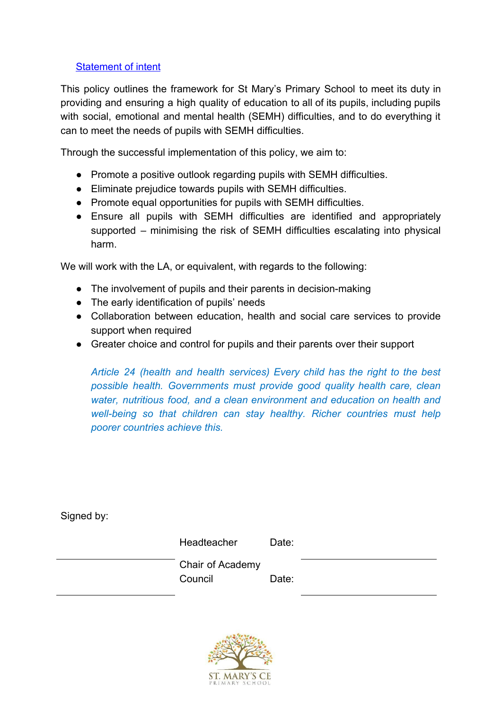## <span id="page-2-0"></span>[Statement of intent](#page-2-0)

This policy outlines the framework for St Mary's Primary School to meet its duty in providing and ensuring a high quality of education to all of its pupils, including pupils with social, emotional and mental health (SEMH) difficulties, and to do everything it can to meet the needs of pupils with SEMH difficulties.

Through the successful implementation of this policy, we aim to:

- Promote a positive outlook regarding pupils with SEMH difficulties.
- Eliminate prejudice towards pupils with SEMH difficulties.
- Promote equal opportunities for pupils with SEMH difficulties.
- Ensure all pupils with SEMH difficulties are identified and appropriately supported – minimising the risk of SEMH difficulties escalating into physical harm.

We will work with the LA, or equivalent, with regards to the following:

- The involvement of pupils and their parents in decision-making
- The early identification of pupils' needs
- Collaboration between education, health and social care services to provide support when required
- Greater choice and control for pupils and their parents over their support

*Article 24 (health and health services) Every child has the right to the best possible health. Governments must provide good quality health care, clean water, nutritious food, and a clean environment and education on health and well-being so that children can stay healthy. Richer countries must help poorer countries achieve this.*

Signed by:

| Headteacher                 | Date: |  |
|-----------------------------|-------|--|
| Chair of Academy<br>Council | Date: |  |
|                             |       |  |

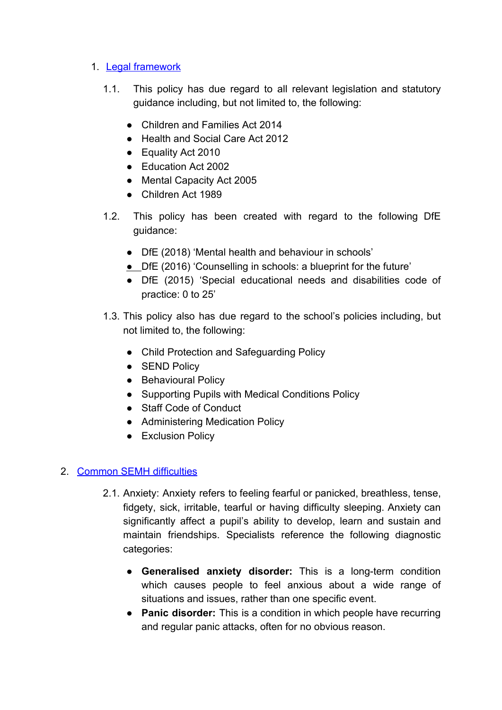## <span id="page-3-0"></span>1. [Legal framework](#page-3-0)

- 1.1. This policy has due regard to all relevant legislation and statutory guidance including, but not limited to, the following:
	- Children and Families Act 2014
	- Health and Social Care Act 2012
	- Equality Act 2010
	- Education Act 2002
	- Mental Capacity Act 2005
	- Children Act 1989
- 1.2. This policy has been created with regard to the following DfE guidance:
	- DfE (2018) 'Mental health and behaviour in schools'
	- **●** DfE (2016) 'Counselling in schools: a blueprint for the future'
	- DfE (2015) 'Special educational needs and disabilities code of practice: 0 to 25'
- 1.3. This policy also has due regard to the school's policies including, but not limited to, the following:
	- Child Protection and Safeguarding Policy
	- SEND Policy
	- Behavioural Policy
	- Supporting Pupils with Medical Conditions Policy
	- Staff Code of Conduct
	- Administering Medication Policy
	- Exclusion Policy

# <span id="page-3-1"></span>2. [Common SEMH difficulties](#page-3-1)

- 2.1. Anxiety: Anxiety refers to feeling fearful or panicked, breathless, tense, fidgety, sick, irritable, tearful or having difficulty sleeping. Anxiety can significantly affect a pupil's ability to develop, learn and sustain and maintain friendships. Specialists reference the following diagnostic categories:
	- **Generalised anxiety disorder:** This is a long-term condition which causes people to feel anxious about a wide range of situations and issues, rather than one specific event.
	- **Panic disorder:** This is a condition in which people have recurring and regular panic attacks, often for no obvious reason.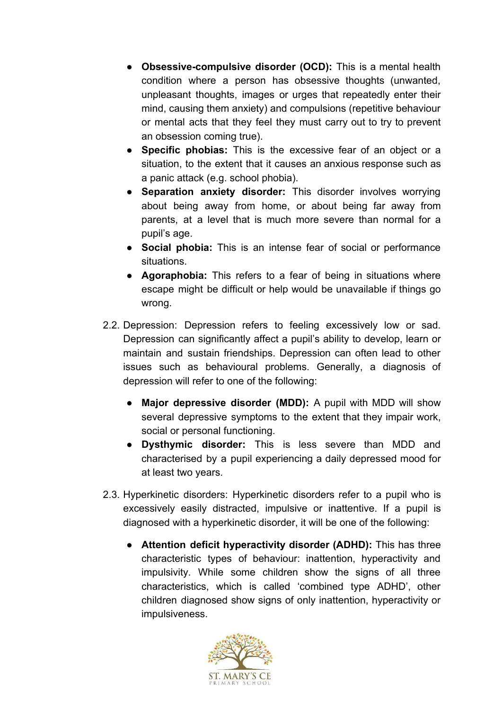- **Obsessive-compulsive disorder (OCD):** This is a mental health condition where a person has obsessive thoughts (unwanted, unpleasant thoughts, images or urges that repeatedly enter their mind, causing them anxiety) and compulsions (repetitive behaviour or mental acts that they feel they must carry out to try to prevent an obsession coming true).
- **Specific phobias:** This is the excessive fear of an object or a situation, to the extent that it causes an anxious response such as a panic attack (e.g. school phobia).
- **Separation anxiety disorder:** This disorder involves worrying about being away from home, or about being far away from parents, at a level that is much more severe than normal for a pupil's age.
- **Social phobia:** This is an intense fear of social or performance situations.
- **Agoraphobia:** This refers to a fear of being in situations where escape might be difficult or help would be unavailable if things go wrong.
- 2.2. Depression: Depression refers to feeling excessively low or sad. Depression can significantly affect a pupil's ability to develop, learn or maintain and sustain friendships. Depression can often lead to other issues such as behavioural problems. Generally, a diagnosis of depression will refer to one of the following:
	- **Major depressive disorder (MDD):** A pupil with MDD will show several depressive symptoms to the extent that they impair work, social or personal functioning.
	- **Dysthymic disorder:** This is less severe than MDD and characterised by a pupil experiencing a daily depressed mood for at least two years.
- 2.3. Hyperkinetic disorders: Hyperkinetic disorders refer to a pupil who is excessively easily distracted, impulsive or inattentive. If a pupil is diagnosed with a hyperkinetic disorder, it will be one of the following:
	- **Attention deficit hyperactivity disorder (ADHD):** This has three characteristic types of behaviour: inattention, hyperactivity and impulsivity. While some children show the signs of all three characteristics, which is called 'combined type ADHD', other children diagnosed show signs of only inattention, hyperactivity or impulsiveness.

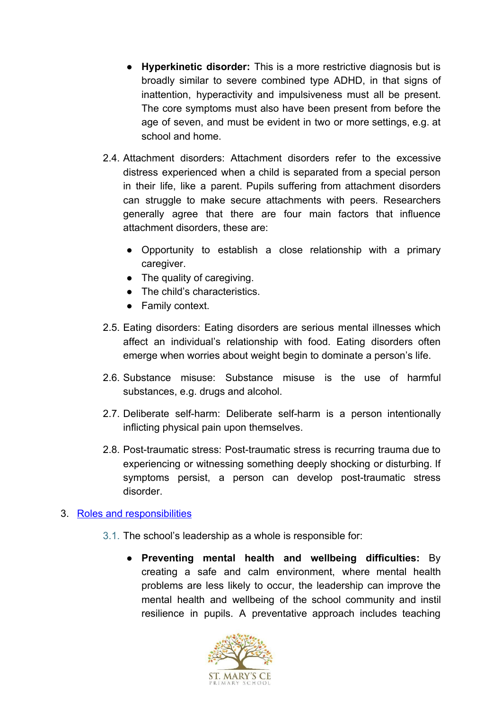- **Hyperkinetic disorder:** This is a more restrictive diagnosis but is broadly similar to severe combined type ADHD, in that signs of inattention, hyperactivity and impulsiveness must all be present. The core symptoms must also have been present from before the age of seven, and must be evident in two or more settings, e.g. at school and home.
- 2.4. Attachment disorders: Attachment disorders refer to the excessive distress experienced when a child is separated from a special person in their life, like a parent. Pupils suffering from attachment disorders can struggle to make secure attachments with peers. Researchers generally agree that there are four main factors that influence attachment disorders, these are:
	- Opportunity to establish a close relationship with a primary caregiver.
	- The quality of caregiving.
	- The child's characteristics.
	- Family context.
- 2.5. Eating disorders: Eating disorders are serious mental illnesses which affect an individual's relationship with food. Eating disorders often emerge when worries about weight begin to dominate a person's life.
- 2.6. Substance misuse: Substance misuse is the use of harmful substances, e.g. drugs and alcohol.
- 2.7. Deliberate self-harm: Deliberate self-harm is a person intentionally inflicting physical pain upon themselves.
- 2.8. Post-traumatic stress: Post-traumatic stress is recurring trauma due to experiencing or witnessing something deeply shocking or disturbing. If symptoms persist, a person can develop post-traumatic stress disorder.

#### <span id="page-5-0"></span>3. [Roles and responsibilities](#page-5-0)

- 3.1. The school's leadership as a whole is responsible for:
	- **Preventing mental health and wellbeing difficulties:** By creating a safe and calm environment, where mental health problems are less likely to occur, the leadership can improve the mental health and wellbeing of the school community and instil resilience in pupils. A preventative approach includes teaching

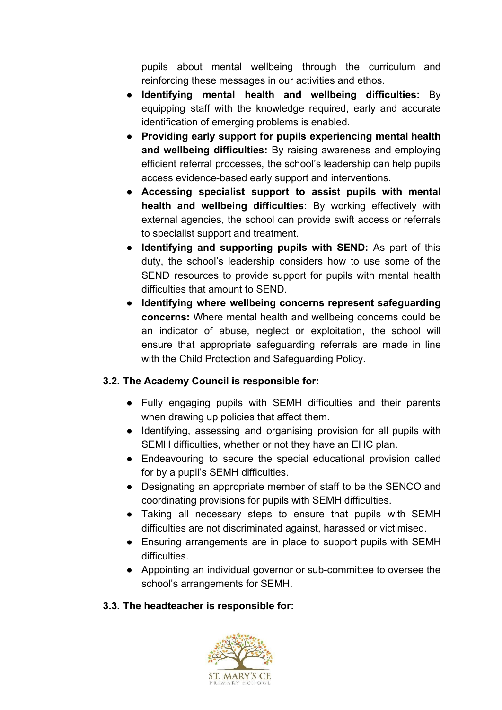pupils about mental wellbeing through the curriculum and reinforcing these messages in our activities and ethos.

- **Identifying mental health and wellbeing difficulties:** By equipping staff with the knowledge required, early and accurate identification of emerging problems is enabled.
- **Providing early support for pupils experiencing mental health and wellbeing difficulties:** By raising awareness and employing efficient referral processes, the school's leadership can help pupils access evidence-based early support and interventions.
- **Accessing specialist support to assist pupils with mental health and wellbeing difficulties:** By working effectively with external agencies, the school can provide swift access or referrals to specialist support and treatment.
- **Identifying and supporting pupils with SEND:** As part of this duty, the school's leadership considers how to use some of the SEND resources to provide support for pupils with mental health difficulties that amount to SEND.
- **Identifying where wellbeing concerns represent safeguarding concerns:** Where mental health and wellbeing concerns could be an indicator of abuse, neglect or exploitation, the school will ensure that appropriate safeguarding referrals are made in line with the Child Protection and Safeguarding Policy.

# **3.2. The Academy Council is responsible for:**

- Fully engaging pupils with SEMH difficulties and their parents when drawing up policies that affect them.
- Identifying, assessing and organising provision for all pupils with SEMH difficulties, whether or not they have an EHC plan.
- Endeavouring to secure the special educational provision called for by a pupil's SEMH difficulties.
- Designating an appropriate member of staff to be the SENCO and coordinating provisions for pupils with SEMH difficulties.
- Taking all necessary steps to ensure that pupils with SEMH difficulties are not discriminated against, harassed or victimised.
- Ensuring arrangements are in place to support pupils with SEMH difficulties.
- Appointing an individual governor or sub-committee to oversee the school's arrangements for SEMH.

# **3.3. The headteacher is responsible for:**

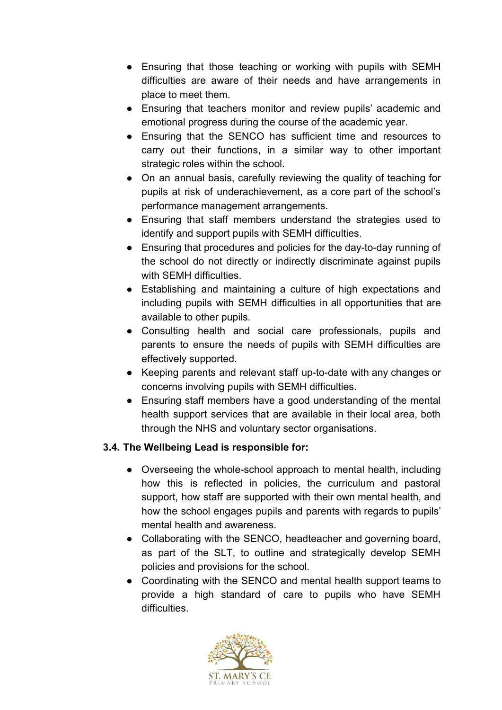- Ensuring that those teaching or working with pupils with SEMH difficulties are aware of their needs and have arrangements in place to meet them.
- Ensuring that teachers monitor and review pupils' academic and emotional progress during the course of the academic year.
- Ensuring that the SENCO has sufficient time and resources to carry out their functions, in a similar way to other important strategic roles within the school.
- On an annual basis, carefully reviewing the quality of teaching for pupils at risk of underachievement, as a core part of the school's performance management arrangements.
- Ensuring that staff members understand the strategies used to identify and support pupils with SEMH difficulties.
- Ensuring that procedures and policies for the day-to-day running of the school do not directly or indirectly discriminate against pupils with SEMH difficulties.
- Establishing and maintaining a culture of high expectations and including pupils with SEMH difficulties in all opportunities that are available to other pupils.
- Consulting health and social care professionals, pupils and parents to ensure the needs of pupils with SEMH difficulties are effectively supported.
- Keeping parents and relevant staff up-to-date with any changes or concerns involving pupils with SEMH difficulties.
- Ensuring staff members have a good understanding of the mental health support services that are available in their local area, both through the NHS and voluntary sector organisations.

# **3.4. The Wellbeing Lead is responsible for:**

- Overseeing the whole-school approach to mental health, including how this is reflected in policies, the curriculum and pastoral support, how staff are supported with their own mental health, and how the school engages pupils and parents with regards to pupils' mental health and awareness.
- Collaborating with the SENCO, headteacher and governing board, as part of the SLT, to outline and strategically develop SEMH policies and provisions for the school.
- Coordinating with the SENCO and mental health support teams to provide a high standard of care to pupils who have SEMH difficulties.

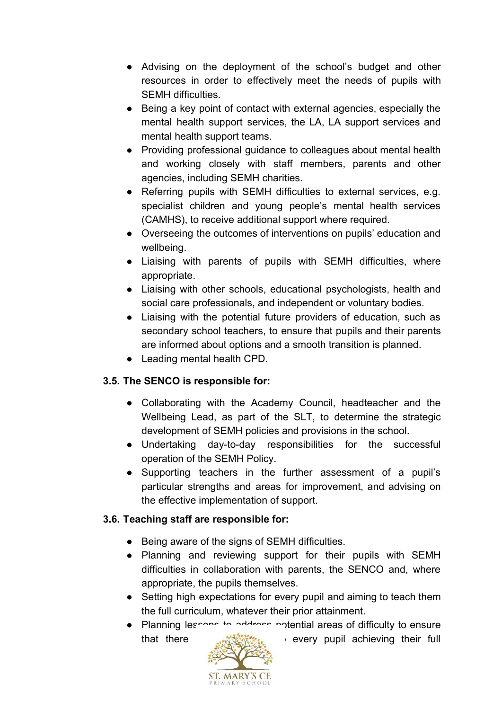- Advising on the deployment of the school's budget and other resources in order to effectively meet the needs of pupils with SEMH difficulties.
- Being a key point of contact with external agencies, especially the mental health support services, the LA, LA support services and mental health support teams.
- Providing professional guidance to colleagues about mental health and working closely with staff members, parents and other agencies, including SEMH charities.
- Referring pupils with SEMH difficulties to external services, e.g. specialist children and young people's mental health services (CAMHS), to receive additional support where required.
- Overseeing the outcomes of interventions on pupils' education and wellbeing.
- Liaising with parents of pupils with SEMH difficulties, where appropriate.
- Liaising with other schools, educational psychologists, health and social care professionals, and independent or voluntary bodies.
- Liaising with the potential future providers of education, such as secondary school teachers, to ensure that pupils and their parents are informed about options and a smooth transition is planned.
- Leading mental health CPD.

# **3.5. The SENCO is responsible for:**

- Collaborating with the Academy Council, headteacher and the Wellbeing Lead, as part of the SLT, to determine the strategic development of SEMH policies and provisions in the school.
- Undertaking day-to-day responsibilities for the successful operation of the SEMH Policy.
- Supporting teachers in the further assessment of a pupil's particular strengths and areas for improvement, and advising on the effective implementation of support.

# **3.6. Teaching staff are responsible for:**

- Being aware of the signs of SEMH difficulties.
- Planning and reviewing support for their pupils with SEMH difficulties in collaboration with parents, the SENCO and, where appropriate, the pupils themselves.
- Setting high expectations for every pupil and aiming to teach them the full curriculum, whatever their prior attainment.
- Planning lessons to address potential areas of difficulty to ensure that there **are no barriers** to every pupil achieving their full

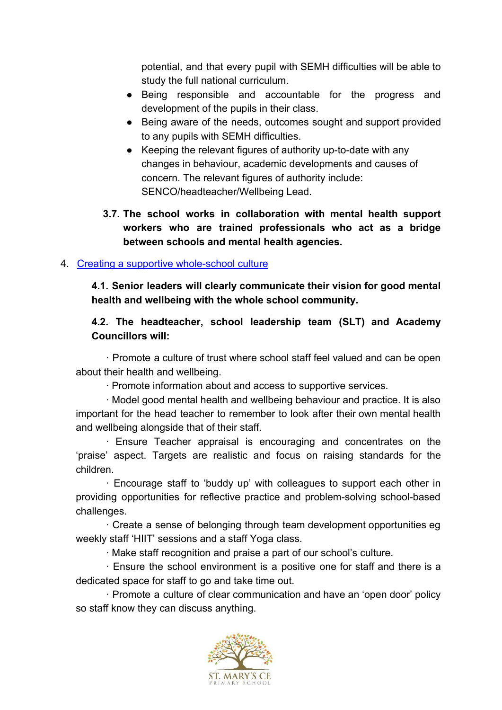potential, and that every pupil with SEMH difficulties will be able to study the full national curriculum.

- Being responsible and accountable for the progress and development of the pupils in their class.
- Being aware of the needs, outcomes sought and support provided to any pupils with SEMH difficulties.
- Keeping the relevant figures of authority up-to-date with any changes in behaviour, academic developments and causes of concern. The relevant figures of authority include: SENCO/headteacher/Wellbeing Lead.
- **3.7. The school works in collaboration with mental health support workers who are trained professionals who act as a bridge between schools and mental health agencies.**

## <span id="page-9-0"></span>4. [Creating a supportive whole-school culture](#page-9-0)

**4.1. Senior leaders will clearly communicate their vision for good mental health and wellbeing with the whole school community.**

## **4.2. The headteacher, school leadership team (SLT) and Academy Councillors will:**

· Promote a culture of trust where school staff feel valued and can be open about their health and wellbeing.

· Promote information about and access to supportive services.

· Model good mental health and wellbeing behaviour and practice. It is also important for the head teacher to remember to look after their own mental health and wellbeing alongside that of their staff.

· Ensure Teacher appraisal is encouraging and concentrates on the 'praise' aspect. Targets are realistic and focus on raising standards for the children.

· Encourage staff to 'buddy up' with colleagues to support each other in providing opportunities for reflective practice and problem-solving school-based challenges.

· Create a sense of belonging through team development opportunities eg weekly staff 'HIIT' sessions and a staff Yoga class.

· Make staff recognition and praise a part of our school's culture.

· Ensure the school environment is a positive one for staff and there is a dedicated space for staff to go and take time out.

· Promote a culture of clear communication and have an 'open door' policy so staff know they can discuss anything.

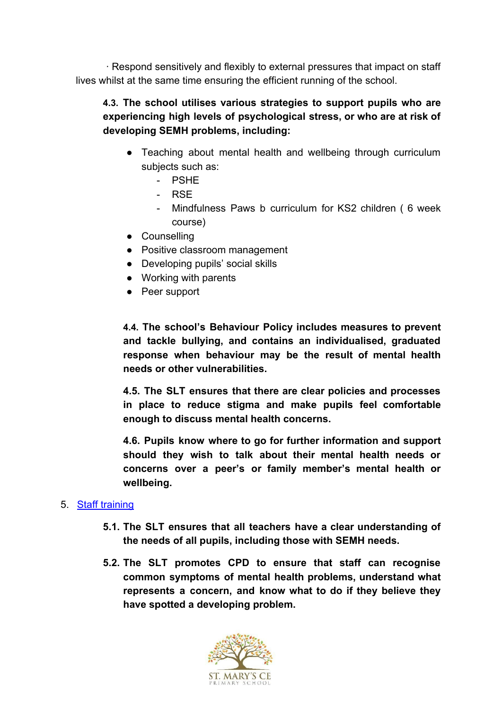· Respond sensitively and flexibly to external pressures that impact on staff lives whilst at the same time ensuring the efficient running of the school.

# **4.3. The school utilises various strategies to support pupils who are experiencing high levels of psychological stress, or who are at risk of developing SEMH problems, including:**

- Teaching about mental health and wellbeing through curriculum subjects such as:
	- PSHE
	- RSE
	- Mindfulness Paws b curriculum for KS2 children ( 6 week course)
- Counselling
- Positive classroom management
- Developing pupils' social skills
- Working with parents
- Peer support

**4.4. The school's Behaviour Policy includes measures to prevent and tackle bullying, and contains an individualised, graduated response when behaviour may be the result of mental health needs or other vulnerabilities.**

**4.5. The SLT ensures that there are clear policies and processes in place to reduce stigma and make pupils feel comfortable enough to discuss mental health concerns.**

**4.6. Pupils know where to go for further information and support should they wish to talk about their mental health needs or concerns over a peer's or family member's mental health or wellbeing.**

#### <span id="page-10-0"></span>5. [Staff training](#page-10-0)

- **5.1. The SLT ensures that all teachers have a clear understanding of the needs of all pupils, including those with SEMH needs.**
- **5.2. The SLT promotes CPD to ensure that staff can recognise common symptoms of mental health problems, understand what represents a concern, and know what to do if they believe they have spotted a developing problem.**

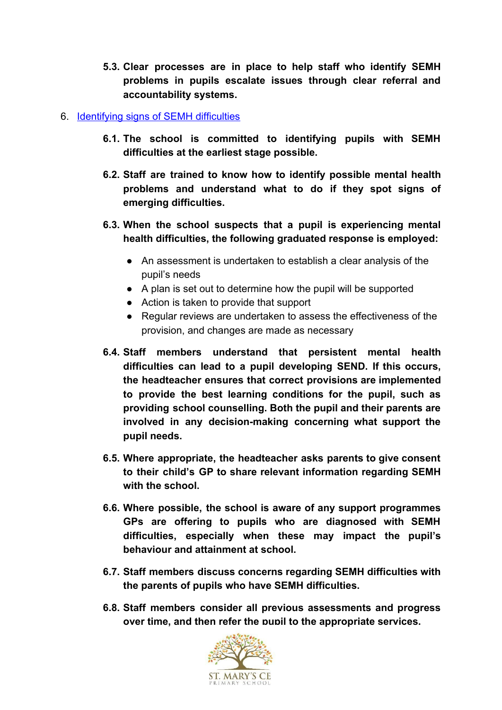**5.3. Clear processes are in place to help staff who identify SEMH problems in pupils escalate issues through clear referral and accountability systems.**

#### <span id="page-11-0"></span>6. [Identifying signs of SEMH difficulties](#page-11-0)

- **6.1. The school is committed to identifying pupils with SEMH difficulties at the earliest stage possible.**
- **6.2. Staff are trained to know how to identify possible mental health problems and understand what to do if they spot signs of emerging difficulties.**
- **6.3. When the school suspects that a pupil is experiencing mental health difficulties, the following graduated response is employed:**
	- An assessment is undertaken to establish a clear analysis of the pupil's needs
	- A plan is set out to determine how the pupil will be supported
	- Action is taken to provide that support
	- Regular reviews are undertaken to assess the effectiveness of the provision, and changes are made as necessary
- **6.4. Staff members understand that persistent mental health difficulties can lead to a pupil developing SEND. If this occurs, the headteacher ensures that correct provisions are implemented to provide the best learning conditions for the pupil, such as providing school counselling. Both the pupil and their parents are involved in any decision-making concerning what support the pupil needs.**
- **6.5. Where appropriate, the headteacher asks parents to give consent to their child's GP to share relevant information regarding SEMH with the school.**
- **6.6. Where possible, the school is aware of any support programmes GPs are offering to pupils who are diagnosed with SEMH difficulties, especially when these may impact the pupil's behaviour and attainment at school.**
- **6.7. Staff members discuss concerns regarding SEMH difficulties with the parents of pupils who have SEMH difficulties.**
- **6.8. Staff members consider all previous assessments and progress over time, and then refer the pupil to the appropriate services.**

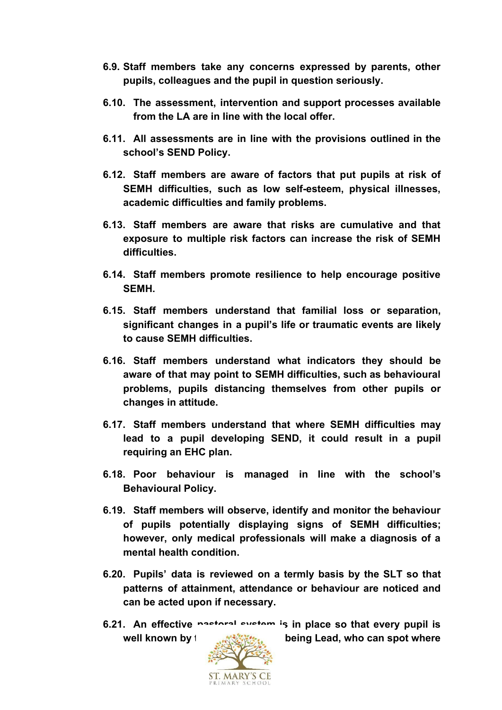- **6.9. Staff members take any concerns expressed by parents, other pupils, colleagues and the pupil in question seriously.**
- **6.10. The assessment, intervention and support processes available from the LA are in line with the local offer.**
- **6.11. All assessments are in line with the provisions outlined in the school's SEND Policy.**
- **6.12. Staff members are aware of factors that put pupils at risk of SEMH difficulties, such as low self-esteem, physical illnesses, academic difficulties and family problems.**
- **6.13. Staff members are aware that risks are cumulative and that exposure to multiple risk factors can increase the risk of SEMH difficulties.**
- **6.14. Staff members promote resilience to help encourage positive SEMH.**
- **6.15. Staff members understand that familial loss or separation, significant changes in a pupil's life or traumatic events are likely to cause SEMH difficulties.**
- **6.16. Staff members understand what indicators they should be aware of that may point to SEMH difficulties, such as behavioural problems, pupils distancing themselves from other pupils or changes in attitude.**
- **6.17. Staff members understand that where SEMH difficulties may lead to a pupil developing SEND, it could result in a pupil requiring an EHC plan.**
- **6.18. Poor behaviour is managed in line with the school's Behavioural Policy.**
- **6.19. Staff members will observe, identify and monitor the behaviour of pupils potentially displaying signs of SEMH difficulties; however, only medical professionals will make a diagnosis of a mental health condition.**
- **6.20. Pupils' data is reviewed on a termly basis by the SLT so that patterns of attainment, attendance or behaviour are noticed and can be acted upon if necessary.**
- **6.21. An effective pastoral system is in place so that every pupil is well known by the** *EMONG***<sub>EM</sub> heing Lead, who can spot where**

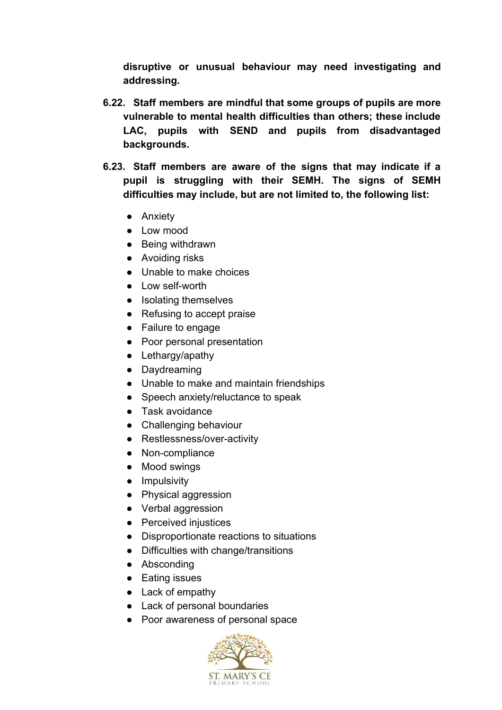**disruptive or unusual behaviour may need investigating and addressing.**

- **6.22. Staff members are mindful that some groups of pupils are more vulnerable to mental health difficulties than others; these include LAC, pupils with SEND and pupils from disadvantaged backgrounds.**
- **6.23. Staff members are aware of the signs that may indicate if a pupil is struggling with their SEMH. The signs of SEMH difficulties may include, but are not limited to, the following list:**
	- Anxiety
	- Low mood
	- Being withdrawn
	- Avoiding risks
	- Unable to make choices
	- Low self-worth
	- Isolating themselves
	- Refusing to accept praise
	- Failure to engage
	- Poor personal presentation
	- Lethargy/apathy
	- Daydreaming
	- Unable to make and maintain friendships
	- Speech anxiety/reluctance to speak
	- Task avoidance
	- Challenging behaviour
	- Restlessness/over-activity
	- Non-compliance
	- Mood swings
	- Impulsivity
	- Physical aggression
	- Verbal aggression
	- Perceived injustices
	- Disproportionate reactions to situations
	- Difficulties with change/transitions
	- Absconding
	- Eating issues
	- Lack of empathy
	- Lack of personal boundaries
	- Poor awareness of personal space

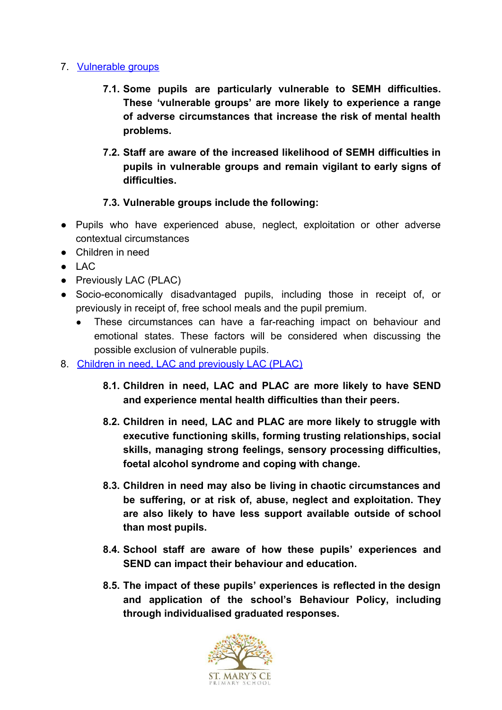## <span id="page-14-0"></span>7. [Vulnerable groups](#page-14-0)

- **7.1. Some pupils are particularly vulnerable to SEMH difficulties. These 'vulnerable groups' are more likely to experience a range of adverse circumstances that increase the risk of mental health problems.**
- **7.2. Staff are aware of the increased likelihood of SEMH difficulties in pupils in vulnerable groups and remain vigilant to early signs of difficulties.**

# **7.3. Vulnerable groups include the following:**

- Pupils who have experienced abuse, neglect, exploitation or other adverse contextual circumstances
- Children in need
- $\bullet$  LAC
- Previously LAC (PLAC)
- Socio-economically disadvantaged pupils, including those in receipt of, or previously in receipt of, free school meals and the pupil premium.
	- These circumstances can have a far-reaching impact on behaviour and emotional states. These factors will be considered when discussing the possible exclusion of vulnerable pupils.
- 8. Children in need, LAC and previously LAC (PLAC)
	- **8.1. Children in need, LAC and PLAC are more likely to have SEND and experience mental health difficulties than their peers.**
	- **8.2. Children in need, LAC and PLAC are more likely to struggle with executive functioning skills, forming trusting relationships, social skills, managing strong feelings, sensory processing difficulties, foetal alcohol syndrome and coping with change.**
	- **8.3. Children in need may also be living in chaotic circumstances and be suffering, or at risk of, abuse, neglect and exploitation. They are also likely to have less support available outside of school than most pupils.**
	- **8.4. School staff are aware of how these pupils' experiences and SEND can impact their behaviour and education.**
	- **8.5. The impact of these pupils' experiences is reflected in the design and application of the school's Behaviour Policy, including through individualised graduated responses.**

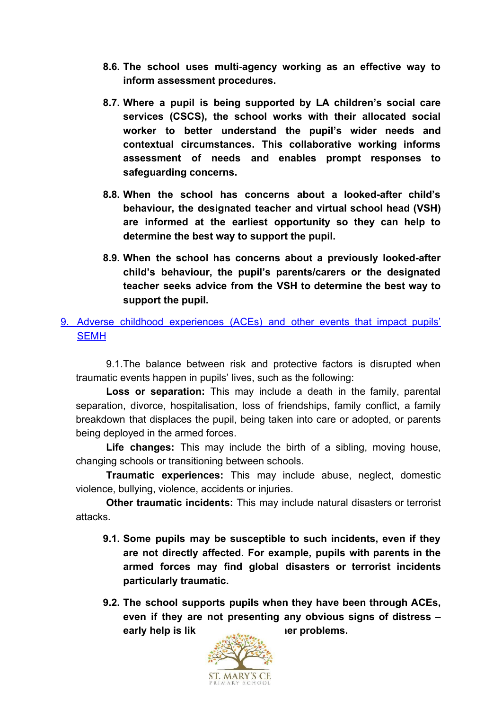- **8.6. The school uses multi-agency working as an effective way to inform assessment procedures.**
- **8.7. Where a pupil is being supported by LA children's social care services (CSCS), the school works with their allocated social worker to better understand the pupil's wider needs and contextual circumstances. This collaborative working informs assessment of needs and enables prompt responses to safeguarding concerns.**
- **8.8. When the school has concerns about a looked-after child's behaviour, the designated teacher and virtual school head (VSH) are informed at the earliest opportunity so they can help to determine the best way to support the pupil.**
- **8.9. When the school has concerns about a previously looked-after child's behaviour, the pupil's parents/carers or the designated teacher seeks advice from the VSH to determine the best way to support the pupil.**
- <span id="page-15-0"></span>9. Adverse childhood [experiences](#page-15-0) (ACEs) and other events that impact pupils' **[SEMH](#page-15-0)**

9.1.The balance between risk and protective factors is disrupted when traumatic events happen in pupils' lives, such as the following:

**Loss or separation:** This may include a death in the family, parental separation, divorce, hospitalisation, loss of friendships, family conflict, a family breakdown that displaces the pupil, being taken into care or adopted, or parents being deployed in the armed forces.

**Life changes:** This may include the birth of a sibling, moving house, changing schools or transitioning between schools.

**Traumatic experiences:** This may include abuse, neglect, domestic violence, bullying, violence, accidents or injuries.

**Other traumatic incidents:** This may include natural disasters or terrorist attacks.

- **9.1. Some pupils may be susceptible to such incidents, even if they are not directly affected. For example, pupils with parents in the armed forces may find global disasters or terrorist incidents particularly traumatic.**
- **9.2. The school supports pupils when they have been through ACEs, even if they are not presenting any obvious signs of distress – early help is likely to problems.**

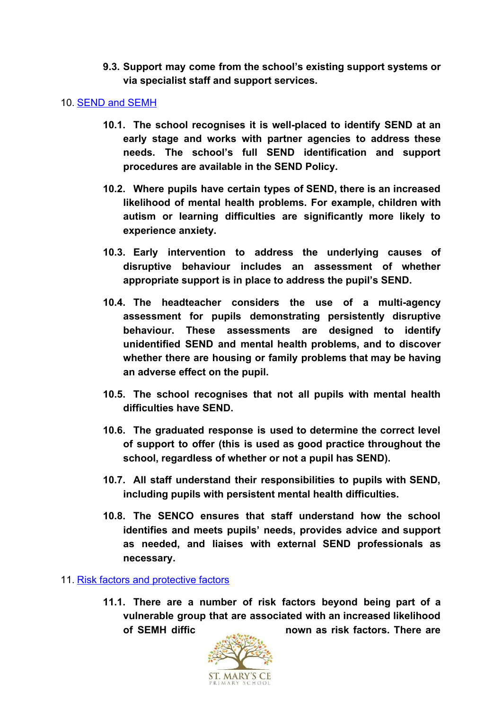**9.3. Support may come from the school's existing support systems or via specialist staff and support services.**

#### <span id="page-16-0"></span>10. [SEND and SEMH](#page-16-0)

- **10.1. The school recognises it is well-placed to identify SEND at an early stage and works with partner agencies to address these needs. The school's full SEND identification and support procedures are available in the SEND Policy.**
- **10.2. Where pupils have certain types of SEND, there is an increased likelihood of mental health problems. For example, children with autism or learning difficulties are significantly more likely to experience anxiety.**
- **10.3. Early intervention to address the underlying causes of disruptive behaviour includes an assessment of whether appropriate support is in place to address the pupil's SEND.**
- **10.4. The headteacher considers the use of a multi-agency assessment for pupils demonstrating persistently disruptive behaviour. These assessments are designed to identify unidentified SEND and mental health problems, and to discover whether there are housing or family problems that may be having an adverse effect on the pupil.**
- **10.5. The school recognises that not all pupils with mental health difficulties have SEND.**
- **10.6. The graduated response is used to determine the correct level of support to offer (this is used as good practice throughout the school, regardless of whether or not a pupil has SEND).**
- **10.7. All staff understand their responsibilities to pupils with SEND, including pupils with persistent mental health difficulties.**
- **10.8. The SENCO ensures that staff understand how the school identifies and meets pupils' needs, provides advice and support as needed, and liaises with external SEND professionals as necessary.**

#### <span id="page-16-1"></span>11. [Risk factors and protective factors](#page-16-1)

**11.1. There are a number of risk factors beyond being part of a vulnerable group that are associated with an increased likelihood of SEMH difficulties, these are known as risk factors. There are**

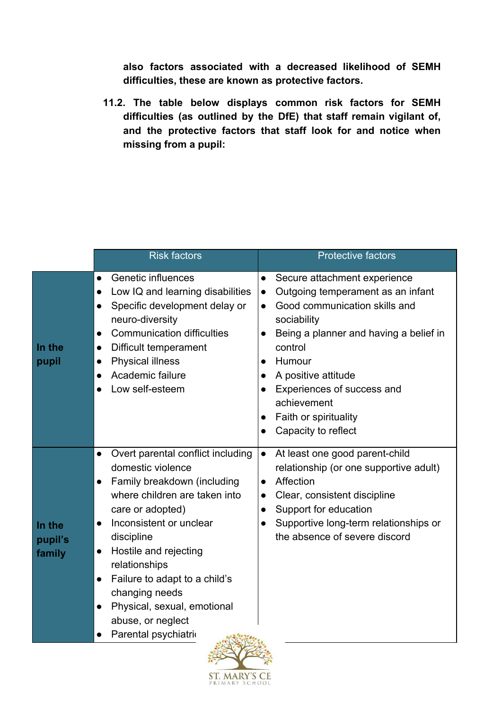**also factors associated with a decreased likelihood of SEMH difficulties, these are known as protective factors.**

**11.2. The table below displays common risk factors for SEMH difficulties (as outlined by the DfE) that staff remain vigilant of, and the protective factors that staff look for and notice when missing from a pupil:**

|                                                                                 | <b>Risk factors</b>                                                                                                                                                                                                                                                                                                                                         | <b>Protective factors</b>                                                                                                                                                                                                                                                                                                                                                                       |
|---------------------------------------------------------------------------------|-------------------------------------------------------------------------------------------------------------------------------------------------------------------------------------------------------------------------------------------------------------------------------------------------------------------------------------------------------------|-------------------------------------------------------------------------------------------------------------------------------------------------------------------------------------------------------------------------------------------------------------------------------------------------------------------------------------------------------------------------------------------------|
| $\bullet$<br>In the<br>$\bullet$<br>pupil                                       | Genetic influences<br>Low IQ and learning disabilities<br>Specific development delay or<br>neuro-diversity<br><b>Communication difficulties</b><br>Difficult temperament<br><b>Physical illness</b><br>Academic failure<br>Low self-esteem                                                                                                                  | Secure attachment experience<br>$\bullet$<br>Outgoing temperament as an infant<br>$\bullet$<br>Good communication skills and<br>$\bullet$<br>sociability<br>Being a planner and having a belief in<br>$\bullet$<br>control<br>Humour<br>$\bullet$<br>A positive attitude<br>Experiences of success and<br>$\bullet$<br>achievement<br>Faith or spirituality<br>$\bullet$<br>Capacity to reflect |
| $\bullet$<br>$\bullet$<br>In the<br>pupil's<br>$\bullet$<br>family<br>$\bullet$ | Overt parental conflict including<br>domestic violence<br>Family breakdown (including<br>where children are taken into<br>care or adopted)<br>Inconsistent or unclear<br>discipline<br>Hostile and rejecting<br>relationships<br>Failure to adapt to a child's<br>changing needs<br>Physical, sexual, emotional<br>abuse, or neglect<br>Parental psychiatri | At least one good parent-child<br>$\bullet$<br>relationship (or one supportive adult)<br>Affection<br>$\bullet$<br>Clear, consistent discipline<br>$\bullet$<br>Support for education<br>$\bullet$<br>Supportive long-term relationships or<br>the absence of severe discord                                                                                                                    |

 $\mathbf{r}^{\text{max}}_{\text{max}}$ 

**ST. MARY'S CE** RIMARY

 $SCHOC$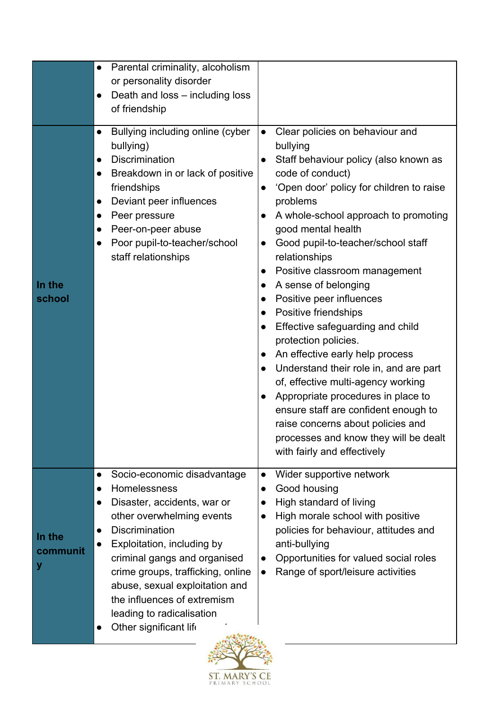|                         | Parental criminality, alcoholism<br>or personality disorder<br>Death and loss - including loss<br>of friendship                                                                                                                                                                                                                                             |                                                                                                                                                                                                                                                                                                                                                                                                                                                                                                                                                                                                                                                                                                                                                                                                                                                                                                                |
|-------------------------|-------------------------------------------------------------------------------------------------------------------------------------------------------------------------------------------------------------------------------------------------------------------------------------------------------------------------------------------------------------|----------------------------------------------------------------------------------------------------------------------------------------------------------------------------------------------------------------------------------------------------------------------------------------------------------------------------------------------------------------------------------------------------------------------------------------------------------------------------------------------------------------------------------------------------------------------------------------------------------------------------------------------------------------------------------------------------------------------------------------------------------------------------------------------------------------------------------------------------------------------------------------------------------------|
| In the<br>school        | Bullying including online (cyber<br>$\bullet$<br>bullying)<br><b>Discrimination</b><br>$\bullet$<br>Breakdown in or lack of positive<br>$\bullet$<br>friendships<br>Deviant peer influences<br>Peer pressure<br>Peer-on-peer abuse<br>Poor pupil-to-teacher/school<br>$\bullet$<br>staff relationships                                                      | Clear policies on behaviour and<br>$\bullet$<br>bullying<br>Staff behaviour policy (also known as<br>$\bullet$<br>code of conduct)<br>'Open door' policy for children to raise<br>$\bullet$<br>problems<br>A whole-school approach to promoting<br>good mental health<br>Good pupil-to-teacher/school staff<br>$\bullet$<br>relationships<br>Positive classroom management<br>$\bullet$<br>A sense of belonging<br>$\bullet$<br>Positive peer influences<br>$\bullet$<br>Positive friendships<br>$\bullet$<br>Effective safeguarding and child<br>$\bullet$<br>protection policies.<br>An effective early help process<br>$\bullet$<br>Understand their role in, and are part<br>of, effective multi-agency working<br>Appropriate procedures in place to<br>ensure staff are confident enough to<br>raise concerns about policies and<br>processes and know they will be dealt<br>with fairly and effectively |
| In the<br>communit<br>у | Socio-economic disadvantage<br>Homelessness<br>Disaster, accidents, war or<br>other overwhelming events<br><b>Discrimination</b><br>Exploitation, including by<br>criminal gangs and organised<br>crime groups, trafficking, online<br>abuse, sexual exploitation and<br>the influences of extremism<br>leading to radicalisation<br>Other significant life | Wider supportive network<br>$\bullet$<br>Good housing<br>$\bullet$<br>High standard of living<br>High morale school with positive<br>$\bullet$<br>policies for behaviour, attitudes and<br>anti-bullying<br>Opportunities for valued social roles<br>$\bullet$<br>Range of sport/leisure activities<br>$\bullet$                                                                                                                                                                                                                                                                                                                                                                                                                                                                                                                                                                                               |

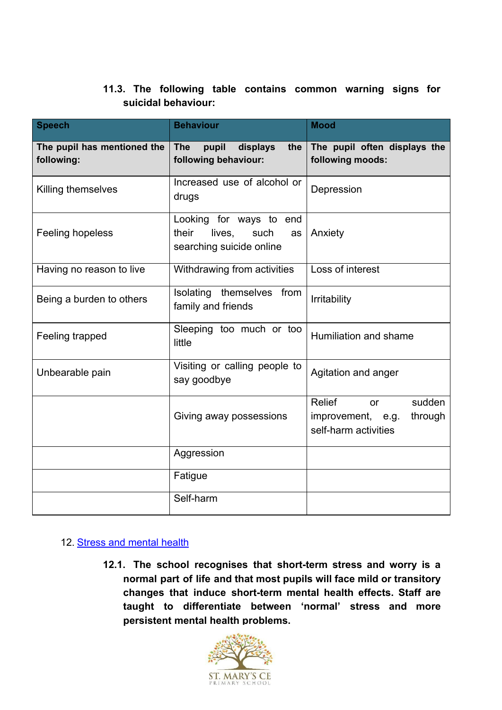# **11.3. The following table contains common warning signs for suicidal behaviour:**

| <b>Speech</b>                             | <b>Behaviour</b>                                                                     | <b>Mood</b>                                                                           |
|-------------------------------------------|--------------------------------------------------------------------------------------|---------------------------------------------------------------------------------------|
| The pupil has mentioned the<br>following: | <b>The</b><br>pupil<br>displays<br>the<br>following behaviour:                       | The pupil often displays the<br>following moods:                                      |
| Killing themselves                        | Increased use of alcohol or<br>drugs                                                 | Depression                                                                            |
| Feeling hopeless                          | Looking for ways to end<br>their<br>lives,<br>such<br>as<br>searching suicide online | Anxiety                                                                               |
| Having no reason to live                  | Withdrawing from activities                                                          | Loss of interest                                                                      |
| Being a burden to others                  | Isolating themselves from<br>family and friends                                      | Irritability                                                                          |
| Feeling trapped                           | Sleeping too much or too<br>little                                                   | Humiliation and shame                                                                 |
| Unbearable pain                           | Visiting or calling people to<br>say goodbye                                         | Agitation and anger                                                                   |
|                                           | Giving away possessions                                                              | Relief<br>sudden<br><b>or</b><br>through<br>improvement, e.g.<br>self-harm activities |
|                                           | Aggression                                                                           |                                                                                       |
|                                           | Fatigue                                                                              |                                                                                       |
|                                           | Self-harm                                                                            |                                                                                       |

#### <span id="page-19-0"></span>12. [Stress and mental health](#page-19-0)

**12.1. The school recognises that short-term stress and worry is a normal part of life and that most pupils will face mild or transitory changes that induce short-term mental health effects. Staff are taught to differentiate between 'normal' stress and more persistent mental health problems.**

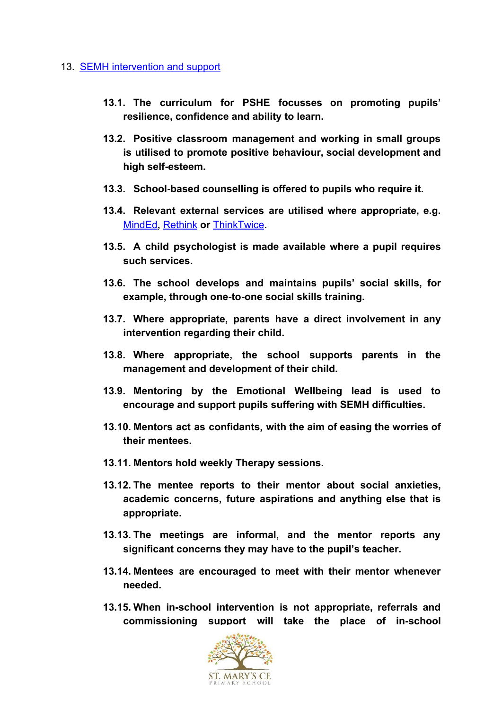#### <span id="page-20-0"></span>13. **SEMH** intervention and support

- **13.1. The curriculum for PSHE focusses on promoting pupils' resilience, confidence and ability to learn.**
- **13.2. Positive classroom management and working in small groups is utilised to promote positive behaviour, social development and high self-esteem.**
- **13.3. School-based counselling is offered to pupils who require it.**
- **13.4. Relevant external services are utilised where appropriate, e.g.** [MindEd](https://www.minded.org.uk/)**,** [Rethink](https://www.rethink.org/) **or** [ThinkTwice](https://thinktwiceinfo.org/)**.**
- **13.5. A child psychologist is made available where a pupil requires such services.**
- **13.6. The school develops and maintains pupils' social skills, for example, through one-to-one social skills training.**
- **13.7. Where appropriate, parents have a direct involvement in any intervention regarding their child.**
- **13.8. Where appropriate, the school supports parents in the management and development of their child.**
- **13.9. Mentoring by the Emotional Wellbeing lead is used to encourage and support pupils suffering with SEMH difficulties.**
- **13.10. Mentors act as confidants, with the aim of easing the worries of their mentees.**
- **13.11. Mentors hold weekly Therapy sessions.**
- **13.12. The mentee reports to their mentor about social anxieties, academic concerns, future aspirations and anything else that is appropriate.**
- **13.13. The meetings are informal, and the mentor reports any significant concerns they may have to the pupil's teacher.**
- **13.14. Mentees are encouraged to meet with their mentor whenever needed.**
- **13.15. When in-school intervention is not appropriate, referrals and commissioning support will take the place of in-school**

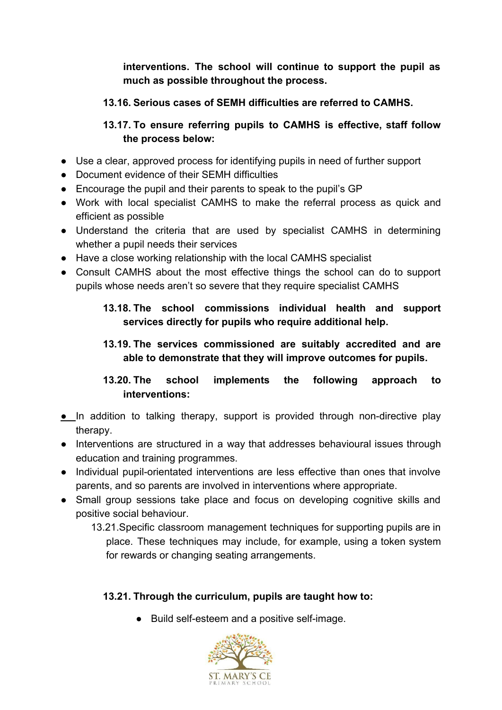**interventions. The school will continue to support the pupil as much as possible throughout the process.**

# **13.16. Serious cases of SEMH difficulties are referred to CAMHS.**

# **13.17. To ensure referring pupils to CAMHS is effective, staff follow the process below:**

- Use a clear, approved process for identifying pupils in need of further support
- Document evidence of their SEMH difficulties
- Encourage the pupil and their parents to speak to the pupil's GP
- Work with local specialist CAMHS to make the referral process as quick and efficient as possible
- Understand the criteria that are used by specialist CAMHS in determining whether a pupil needs their services
- Have a close working relationship with the local CAMHS specialist
- Consult CAMHS about the most effective things the school can do to support pupils whose needs aren't so severe that they require specialist CAMHS

# **13.18. The school commissions individual health and support services directly for pupils who require additional help.**

# **13.19. The services commissioned are suitably accredited and are able to demonstrate that they will improve outcomes for pupils.**

# **13.20. The school implements the following approach to interventions:**

- **●** In addition to talking therapy, support is provided through non-directive play therapy.
- Interventions are structured in a way that addresses behavioural issues through education and training programmes.
- Individual pupil-orientated interventions are less effective than ones that involve parents, and so parents are involved in interventions where appropriate.
- Small group sessions take place and focus on developing cognitive skills and positive social behaviour.
	- 13.21.Specific classroom management techniques for supporting pupils are in place. These techniques may include, for example, using a token system for rewards or changing seating arrangements.

# **13.21. Through the curriculum, pupils are taught how to:**

● Build self-esteem and a positive self-image.

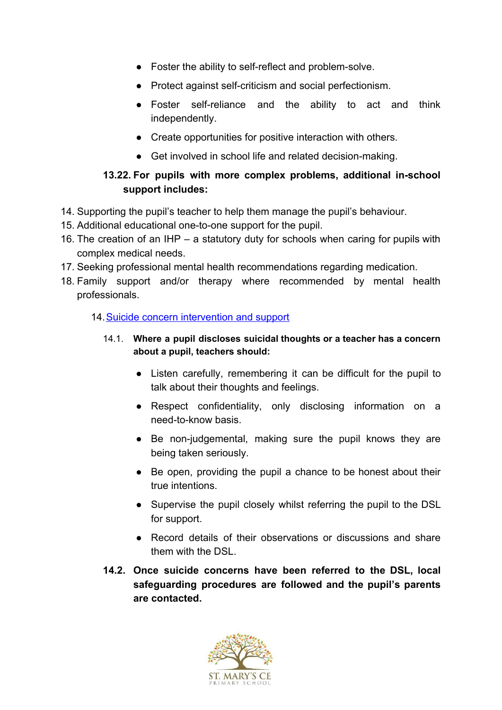- Foster the ability to self-reflect and problem-solve.
- Protect against self-criticism and social perfectionism.
- Foster self-reliance and the ability to act and think independently.
- Create opportunities for positive interaction with others.
- Get involved in school life and related decision-making.

# **13.22. For pupils with more complex problems, additional in-school support includes:**

- 14. Supporting the pupil's teacher to help them manage the pupil's behaviour.
- 15. Additional educational one-to-one support for the pupil.
- 16. The creation of an IHP a statutory duty for schools when caring for pupils with complex medical needs.
- 17. Seeking professional mental health recommendations regarding medication.
- 18. Family support and/or therapy where recommended by mental health professionals.

#### <span id="page-22-0"></span>14. [Suicide concern intervention and support](#page-22-0)

### 14.1. **Where a pupil discloses suicidal thoughts or a teacher has a concern about a pupil, teachers should:**

- Listen carefully, remembering it can be difficult for the pupil to talk about their thoughts and feelings.
- Respect confidentiality, only disclosing information on a need-to-know basis.
- Be non-judgemental, making sure the pupil knows they are being taken seriously.
- Be open, providing the pupil a chance to be honest about their true intentions.
- Supervise the pupil closely whilst referring the pupil to the DSL for support.
- Record details of their observations or discussions and share them with the DSL.
- **14.2. Once suicide concerns have been referred to the DSL, local safeguarding procedures are followed and the pupil's parents are contacted.**

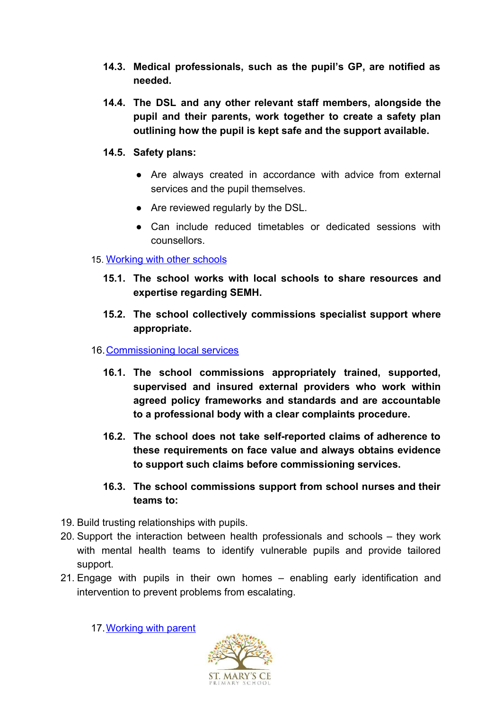- **14.3. Medical professionals, such as the pupil's GP, are notified as needed.**
- **14.4. The DSL and any other relevant staff members, alongside the pupil and their parents, work together to create a safety plan outlining how the pupil is kept safe and the support available.**
- **14.5. Safety plans:**
	- Are always created in accordance with advice from external services and the pupil themselves.
	- Are reviewed regularly by the DSL.
	- Can include reduced timetables or dedicated sessions with counsellors.

#### <span id="page-23-0"></span>15. [Working with other schools](#page-23-0)

- **15.1. The school works with local schools to share resources and expertise regarding SEMH.**
- **15.2. The school collectively commissions specialist support where appropriate.**
- <span id="page-23-1"></span>16.[Commissioning local services](#page-23-1)
	- **16.1. The school commissions appropriately trained, supported, supervised and insured external providers who work within agreed policy frameworks and standards and are accountable to a professional body with a clear complaints procedure.**
	- **16.2. The school does not take self-reported claims of adherence to these requirements on face value and always obtains evidence to support such claims before commissioning services.**
	- **16.3. The school commissions support from school nurses and their teams to:**
- 19. Build trusting relationships with pupils.
- 20. Support the interaction between health professionals and schools they work with mental health teams to identify vulnerable pupils and provide tailored support.
- 21. Engage with pupils in their own homes enabling early identification and intervention to prevent problems from escalating.

<span id="page-23-2"></span>17. Working with parent

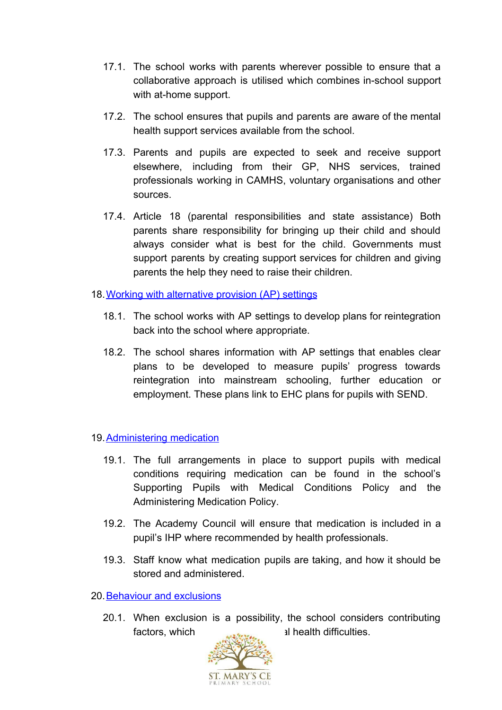- 17.1. The school works with parents wherever possible to ensure that a collaborative approach is utilised which combines in-school support with at-home support.
- 17.2. The school ensures that pupils and parents are aware of the mental health support services available from the school.
- 17.3. Parents and pupils are expected to seek and receive support elsewhere, including from their GP, NHS services, trained professionals working in CAMHS, voluntary organisations and other sources.
- 17.4. Article 18 (parental responsibilities and state assistance) Both parents share responsibility for bringing up their child and should always consider what is best for the child. Governments must support parents by creating support services for children and giving parents the help they need to raise their children.
- <span id="page-24-0"></span>18. [Working with alternative provision \(AP\) settings](#page-24-0)
	- 18.1. The school works with AP settings to develop plans for reintegration back into the school where appropriate.
	- 18.2. The school shares information with AP settings that enables clear plans to be developed to measure pupils' progress towards reintegration into mainstream schooling, further education or employment. These plans link to EHC plans for pupils with SEND.
- <span id="page-24-1"></span>19. [Administering medication](#page-24-1)
	- 19.1. The full arrangements in place to support pupils with medical conditions requiring medication can be found in the school's Supporting Pupils with Medical Conditions Policy and the Administering Medication Policy.
	- 19.2. The Academy Council will ensure that medication is included in a pupil's IHP where recommended by health professionals.
	- 19.3. Staff know what medication pupils are taking, and how it should be stored and administered.
- <span id="page-24-2"></span>20.[Behaviour and exclusions](#page-24-2)
	- 20.1. When exclusion is a possibility, the school considers contributing factors, which could include the mental health difficulties.